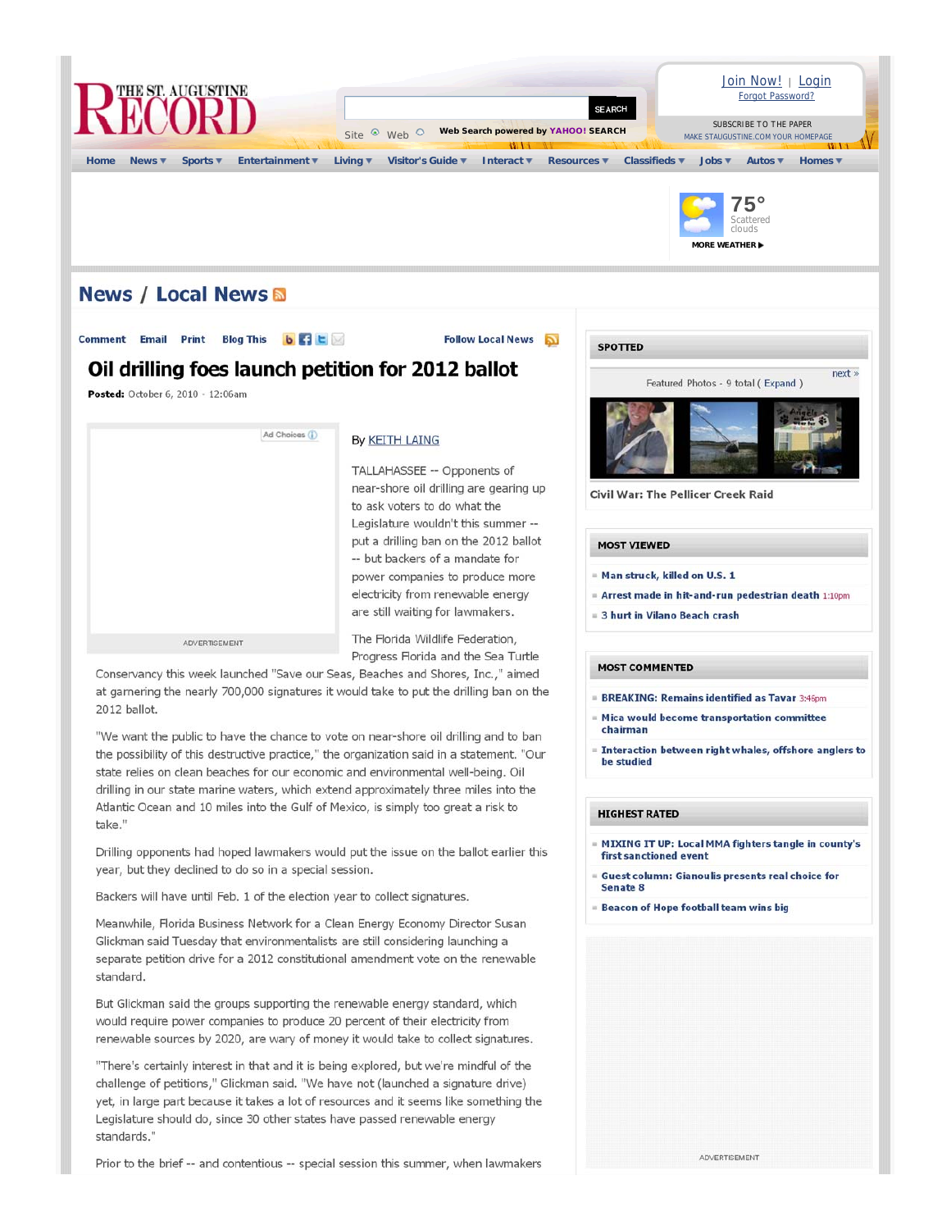

Backers will have until Feb. 1 of the election year to collect signatures.

Meanwhile, Florida Business Network for a Clean Energy Economy Director Susan Glickman said Tuesday that environmentalists are still considering launching a separate petition drive for a 2012 constitutional amendment vote on the renewable standard.

But Glickman said the groups supporting the renewable energy standard, which would require power companies to produce 20 percent of their electricity from renewable sources by 2020, are wary of money it would take to collect signatures.

"There's certainly interest in that and it is being explored, but we're mindful of the challenge of petitions," Glickman said. "We have not (launched a signature drive) yet, in large part because it takes a lot of resources and it seems like something the Legislature should do, since 30 other states have passed renewable energy standards."

Prior to the brief -- and contentious -- special session this summer, when lawmakers

**Beacon of Hope football team wins big** 

ADVERTISEMENT